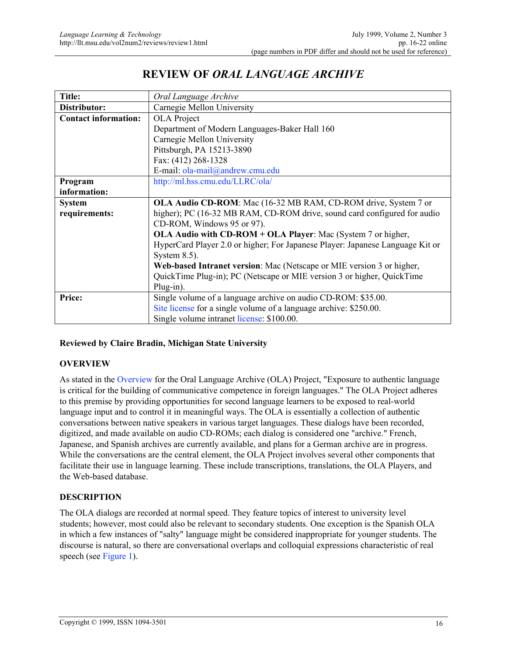# REVIEW OF *ORAL LANGUAGE ARCHIVE*

| <b>Title:</b>               | Oral Language Archive                                                         |
|-----------------------------|-------------------------------------------------------------------------------|
| Distributor:                | Carnegie Mellon University                                                    |
| <b>Contact information:</b> | <b>OLA</b> Project                                                            |
|                             | Department of Modern Languages-Baker Hall 160                                 |
|                             | Carnegie Mellon University                                                    |
|                             | Pittsburgh, PA 15213-3890                                                     |
|                             | Fax: (412) 268-1328                                                           |
|                             | E-mail: ola-mail@andrew.cmu.edu                                               |
| Program                     | http://ml.hss.cmu.edu/LLRC/ola/                                               |
| information:                |                                                                               |
| <b>System</b>               | OLA Audio CD-ROM: Mac (16-32 MB RAM, CD-ROM drive, System 7 or                |
| requirements:               | higher); PC (16-32 MB RAM, CD-ROM drive, sound card configured for audio      |
|                             | CD-ROM, Windows 95 or 97).                                                    |
|                             | OLA Audio with CD-ROM + OLA Player: Mac (System 7 or higher,                  |
|                             | HyperCard Player 2.0 or higher; For Japanese Player: Japanese Language Kit or |
|                             | System $8.5$ ).                                                               |
|                             | Web-based Intranet version: Mac (Netscape or MIE version 3 or higher,         |
|                             | QuickTime Plug-in); PC (Netscape or MIE version 3 or higher, QuickTime        |
|                             | Plug-in).                                                                     |
| Price:                      | Single volume of a language archive on audio CD-ROM: \$35.00.                 |
|                             | Site license for a single volume of a language archive: \$250.00.             |
|                             | Single volume intranet license: \$100.00.                                     |

### Reviewed by Claire Bradin, Michigan State University

#### **OVERVIEW**

As stated in the Overview for the Oral Language Archive (OLA) Project, "Exposure to authentic language is critical for the building of communicative competence in foreign languages." The OLA Project adheres to this premise by providing opportunities for second language learners to be exposed to real-world language input and to control it in meaningful ways. The OLA is essentially a collection of authentic conversations between native speakers in various target languages. These dialogs have been recorded, digitized, and made available on audio CD-ROMs; each dialog is considered one "archive." French, Japanese, and Spanish archives are currently available, and plans for a German archive are in progress. While the conversations are the central element, the OLA Project involves several other components that facilitate their use in language learning. These include transcriptions, translations, the OLA Players, and the Web-based database.

### DESCRIPTION

The OLA dialogs are recorded at normal speed. They feature topics of interest to university level students; however, most could also be relevant to secondary students. One exception is the Spanish OLA in which a few instances of "salty" language might be considered inappropriate for younger students. The discourse is natural, so there are conversational overlaps and colloquial expressions characteristic of real speech (see Figure 1).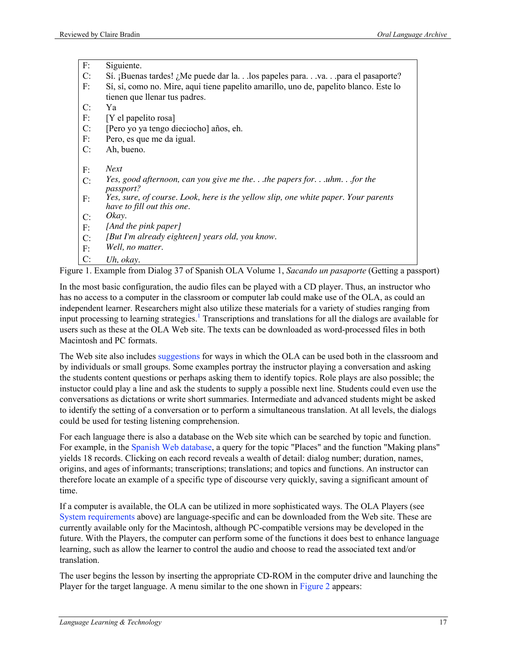F: Siguiente.

| C: | Sí. ¡Buenas tardes! ¿Me puede dar la.los papeles para.va.para el pasaporte?                                      |
|----|------------------------------------------------------------------------------------------------------------------|
| F: | Sí, sí, como no. Mire, aquí tiene papelito amarillo, uno de, papelito blanco. Este lo                            |
|    | tienen que llenar tus padres.                                                                                    |
| C: | Ya                                                                                                               |
| F: | $[Y$ el papelito rosa]                                                                                           |
| C: | [Pero yo ya tengo dieciocho] años, eh.                                                                           |
| F: | Pero, es que me da igual.                                                                                        |
| C: | Ah, bueno.                                                                                                       |
| F: | <b>Next</b>                                                                                                      |
| C: | Yes, good afternoon, can you give me thethe papers foruhmfor the<br><i>passport?</i>                             |
| F: | Yes, sure, of course. Look, here is the yellow slip, one white paper. Your parents<br>have to fill out this one. |
| C: | Okay.                                                                                                            |
| F: | [And the pink paper]                                                                                             |
| C: | [But I'm already eighteen] years old, you know.                                                                  |
| F: | Well, no matter.                                                                                                 |
| C: | Uh, okay.                                                                                                        |

Figure 1. Example from Dialog 37 of Spanish OLA Volume 1, *Sacando un pasaporte* (Getting a passport)

In the most basic configuration, the audio files can be played with a CD player. Thus, an instructor who has no access to a computer in the classroom or computer lab could make use of the OLA, as could an independent learner. Researchers might also utilize these materials for a variety of studies ranging from input processing to learning strategies.<sup>1</sup> Transcriptions and translations for all the dialogs are available for users such as these at the OLA Web site. The texts can be downloaded as word-processed files in both Macintosh and PC formats.

The Web site also includes suggestions for ways in which the OLA can be used both in the classroom and by individuals or small groups. Some examples portray the instructor playing a conversation and asking the students content questions or perhaps asking them to identify topics. Role plays are also possible; the instuctor could play a line and ask the students to supply a possible next line. Students could even use the conversations as dictations or write short summaries. Intermediate and advanced students might be asked to identify the setting of a conversation or to perform a simultaneous translation. At all levels, the dialogs could be used for testing listening comprehension.

For each language there is also a database on the Web site which can be searched by topic and function. For example, in the Spanish Web database, a query for the topic "Places" and the function "Making plans" yields 18 records. Clicking on each record reveals a wealth of detail: dialog number; duration, names, origins, and ages of informants; transcriptions; translations; and topics and functions. An instructor can therefore locate an example of a specific type of discourse very quickly, saving a significant amount of time.

If a computer is available, the OLA can be utilized in more sophisticated ways. The OLA Players (see System requirements above) are language-specific and can be downloaded from the Web site. These are currently available only for the Macintosh, although PC-compatible versions may be developed in the future. With the Players, the computer can perform some of the functions it does best to enhance language learning, such as allow the learner to control the audio and choose to read the associated text and/or translation.

The user begins the lesson by inserting the appropriate CD-ROM in the computer drive and launching the Player for the target language. A menu similar to the one shown in Figure 2 appears: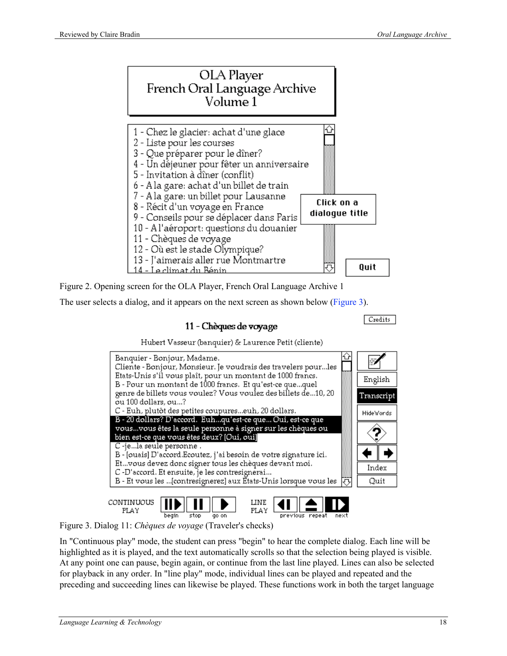

Figure 2. Opening screen for the OLA Player, French Oral Language Archive 1

The user selects a dialog, and it appears on the next screen as shown below (Figure 3).

## 11 - Chèques de voyage

Credits





previous repeat

begin Figure 3. Dialog 11: *Chèques de voyage* (Traveler's checks)

 $stop$ 

go on

In "Continuous play" mode, the student can press "begin" to hear the complete dialog. Each line will be highlighted as it is played, and the text automatically scrolls so that the selection being played is visible. At any point one can pause, begin again, or continue from the last line played. Lines can also be selected for playback in any order. In "line play" mode, individual lines can be played and repeated and the preceding and succeeding lines can likewise be played. These functions work in both the target language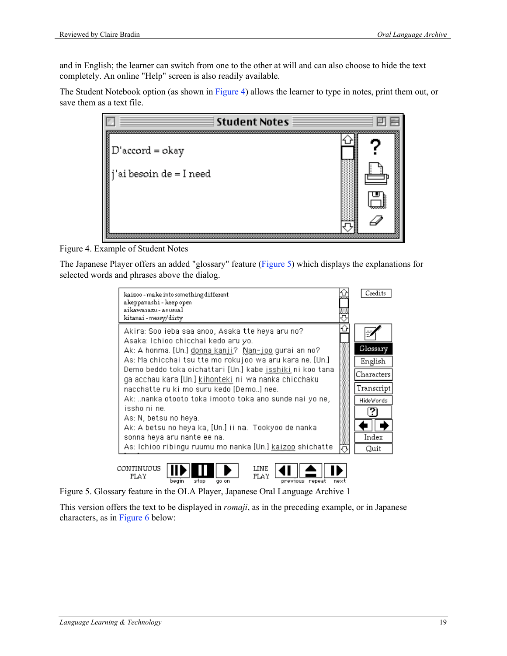and in English; the learner can switch from one to the other at will and can also choose to hide the text completely. An online "Help" screen is also readily available.

The Student Notebook option (as shown in Figure 4) allows the learner to type in notes, print them out, or save them as a text file.



Figure 4. Example of Student Notes

The Japanese Player offers an added "glossary" feature (Figure 5) which displays the explanations for selected words and phrases above the dialog.



Figure 5. Glossary feature in the OLA Player, Japanese Oral Language Archive 1

This version offers the text to be displayed in *romaji*, as in the preceding example, or in Japanese characters, as in Figure 6 below: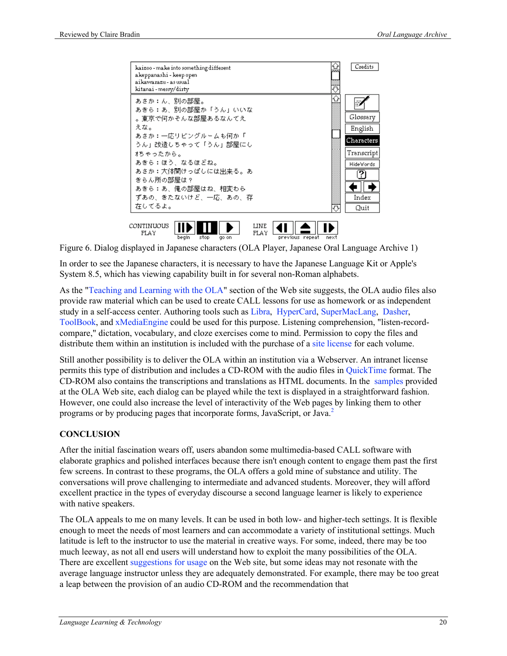

**CONTINUOUS** LINE ≜ 41 PLAY FLAY go on begin stop previous repeat next

Figure 6. Dialog displayed in Japanese characters (OLA Player, Japanese Oral Language Archive 1)

In order to see the Japanese characters, it is necessary to have the Japanese Language Kit or Apple's System 8.5, which has viewing capability built in for several non-Roman alphabets.

As the "Teaching and Learning with the OLA" section of the Web site suggests, the OLA audio files also provide raw material which can be used to create CALL lessons for use as homework or as independent study in a self-access center. Authoring tools such as Libra, HyperCard, SuperMacLang, Dasher, ToolBook, and xMediaEngine could be used for this purpose. Listening comprehension, "listen-recordcompare," dictation, vocabulary, and cloze exercises come to mind. Permission to copy the files and distribute them within an institution is included with the purchase of a site license for each volume.

Still another possibility is to deliver the OLA within an institution via a Webserver. An intranet license permits this type of distribution and includes a CD-ROM with the audio files in QuickTime format. The CD-ROM also contains the transcriptions and translations as HTML documents. In the samples provided at the OLA Web site, each dialog can be played while the text is displayed in a straightforward fashion. However, one could also increase the level of interactivity of the Web pages by linking them to other programs or by producing pages that incorporate forms, JavaScript, or Java.<sup>2</sup>

### **CONCLUSION**

After the initial fascination wears off, users abandon some multimedia-based CALL software with elaborate graphics and polished interfaces because there isn't enough content to engage them past the first few screens. In contrast to these programs, the OLA offers a gold mine of substance and utility. The conversations will prove challenging to intermediate and advanced students. Moreover, they will afford excellent practice in the types of everyday discourse a second language learner is likely to experience with native speakers.

The OLA appeals to me on many levels. It can be used in both low- and higher-tech settings. It is flexible enough to meet the needs of most learners and can accommodate a variety of institutional settings. Much latitude is left to the instructor to use the material in creative ways. For some, indeed, there may be too much leeway, as not all end users will understand how to exploit the many possibilities of the OLA. There are excellent suggestions for usage on the Web site, but some ideas may not resonate with the average language instructor unless they are adequately demonstrated. For example, there may be too great a leap between the provision of an audio CD-ROM and the recommendation that